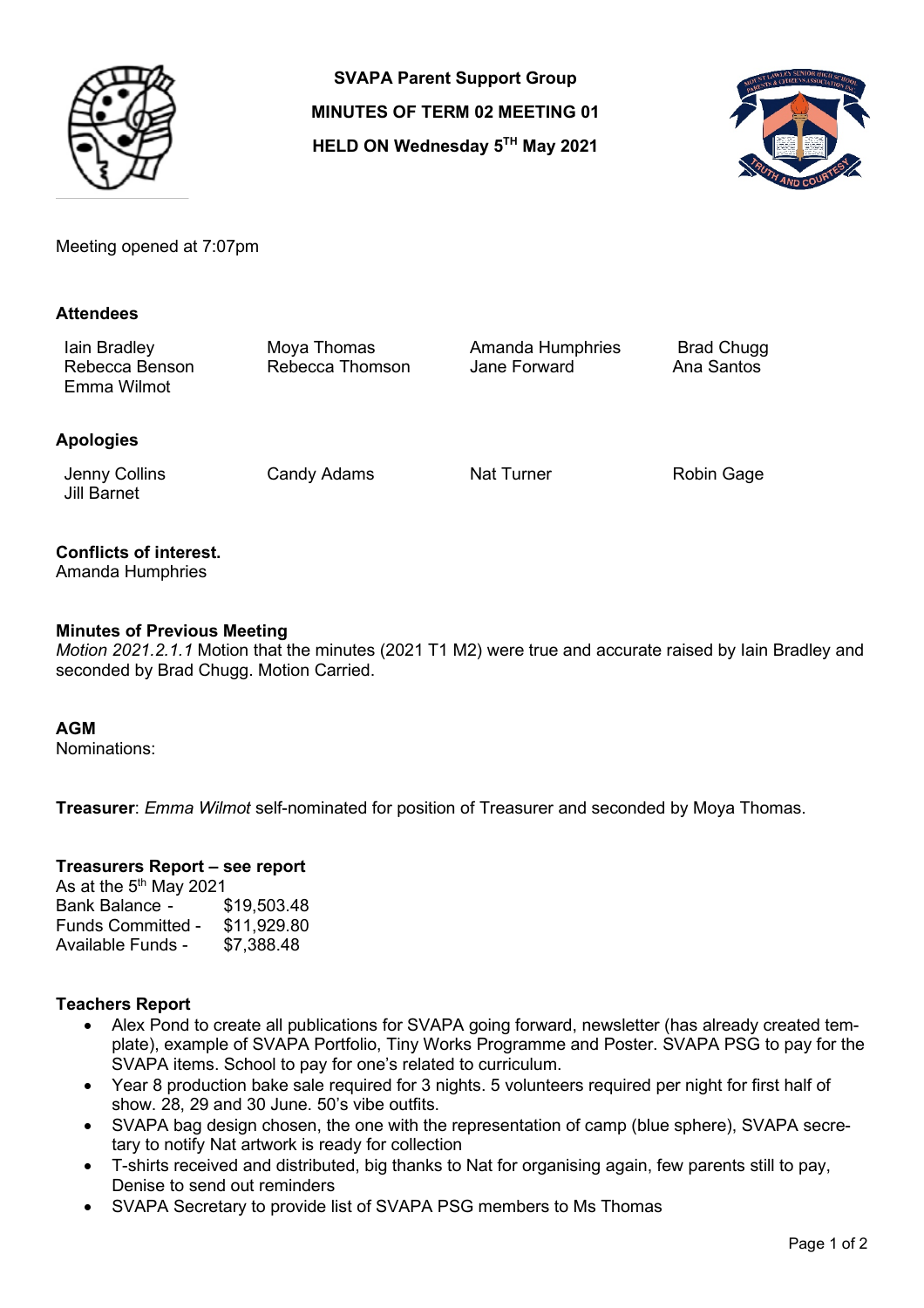

**SVAPA Parent Support Group MINUTES OF TERM 02 MEETING 01 HELD ON Wednesday 5TH May 2021**



Meeting opened at 7:07pm

### **Attendees**

Iain Bradley Moya Thomas Amanda Humphries Brad Chugg<br>Rebecca Benson Rebecca Thomson Jane Forward Ana San Rebecca Thomson Emma Wilmot

## **Apologies**

Jenny Collins Jill Barnet

Candy Adams Nat Turner Robin Gage

# **Conflicts of interest.**

Amanda Humphries

## **Minutes of Previous Meeting**

*Motion 2021.2.1.1* Motion that the minutes (2021 T1 M2) were true and accurate raised by Iain Bradley and seconded by Brad Chugg. Motion Carried.

### **AGM**

Nominations:

**Treasurer**: *Emma Wilmot* self-nominated for position of Treasurer and seconded by Moya Thomas.

### **Treasurers Report – see report**

As at the  $5<sup>th</sup>$  May 2021 Bank Balance - \$19,503.48 Funds Committed - \$11,929.80 Available Funds - \$7,388.48

# **Teachers Report**

- Alex Pond to create all publications for SVAPA going forward, newsletter (has already created template), example of SVAPA Portfolio, Tiny Works Programme and Poster. SVAPA PSG to pay for the SVAPA items. School to pay for one's related to curriculum.
- Year 8 production bake sale required for 3 nights. 5 volunteers required per night for first half of show. 28, 29 and 30 June. 50's vibe outfits.
- SVAPA bag design chosen, the one with the representation of camp (blue sphere), SVAPA secretary to notify Nat artwork is ready for collection
- T-shirts received and distributed, big thanks to Nat for organising again, few parents still to pay, Denise to send out reminders
- SVAPA Secretary to provide list of SVAPA PSG members to Ms Thomas